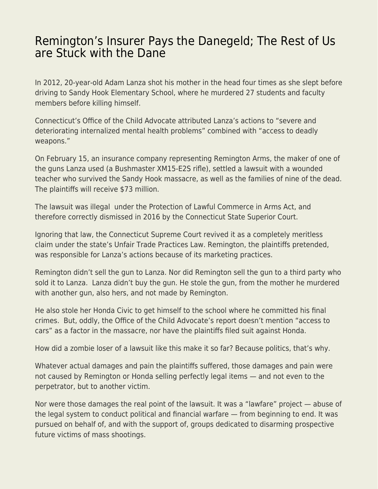## [Remington's Insurer Pays the Danegeld; The Rest of Us](https://everything-voluntary.com/remingtons-insurer-pays-the-danegeld-the-rest-of-us-are-stuck-with-the-dane) [are Stuck with the Dane](https://everything-voluntary.com/remingtons-insurer-pays-the-danegeld-the-rest-of-us-are-stuck-with-the-dane)

In 2012, 20-year-old Adam Lanza shot his mother in the head four times as she slept before driving to Sandy Hook Elementary School, where he murdered 27 students and faculty members before killing himself.

Connecticut's Office of the Child Advocate attributed Lanza's actions to "severe and deteriorating internalized mental health problems" combined with "access to deadly weapons."

On February 15, an insurance company representing Remington Arms, the maker of one of the guns Lanza used (a Bushmaster XM15-E2S rifle), settled a lawsuit with a wounded teacher who survived the Sandy Hook massacre, as well as the families of nine of the dead. The plaintiffs will receive \$73 million.

The lawsuit was illegal under the Protection of Lawful Commerce in Arms Act, and therefore correctly dismissed in 2016 by the Connecticut State Superior Court.

Ignoring that law, the Connecticut Supreme Court revived it as a completely meritless claim under the state's Unfair Trade Practices Law. Remington, the plaintiffs pretended, was responsible for Lanza's actions because of its marketing practices.

Remington didn't sell the gun to Lanza. Nor did Remington sell the gun to a third party who sold it to Lanza. Lanza didn't buy the gun. He stole the gun, from the mother he murdered with another gun, also hers, and not made by Remington.

He also stole her Honda Civic to get himself to the school where he committed his final crimes. But, oddly, the Office of the Child Advocate's report doesn't mention "access to cars" as a factor in the massacre, nor have the plaintiffs filed suit against Honda.

How did a zombie loser of a lawsuit like this make it so far? Because politics, that's why.

Whatever actual damages and pain the plaintiffs suffered, those damages and pain were not caused by Remington or Honda selling perfectly legal items — and not even to the perpetrator, but to another victim.

Nor were those damages the real point of the lawsuit. It was a "lawfare" project — abuse of the legal system to conduct political and financial warfare — from beginning to end. It was pursued on behalf of, and with the support of, groups dedicated to disarming prospective future victims of mass shootings.